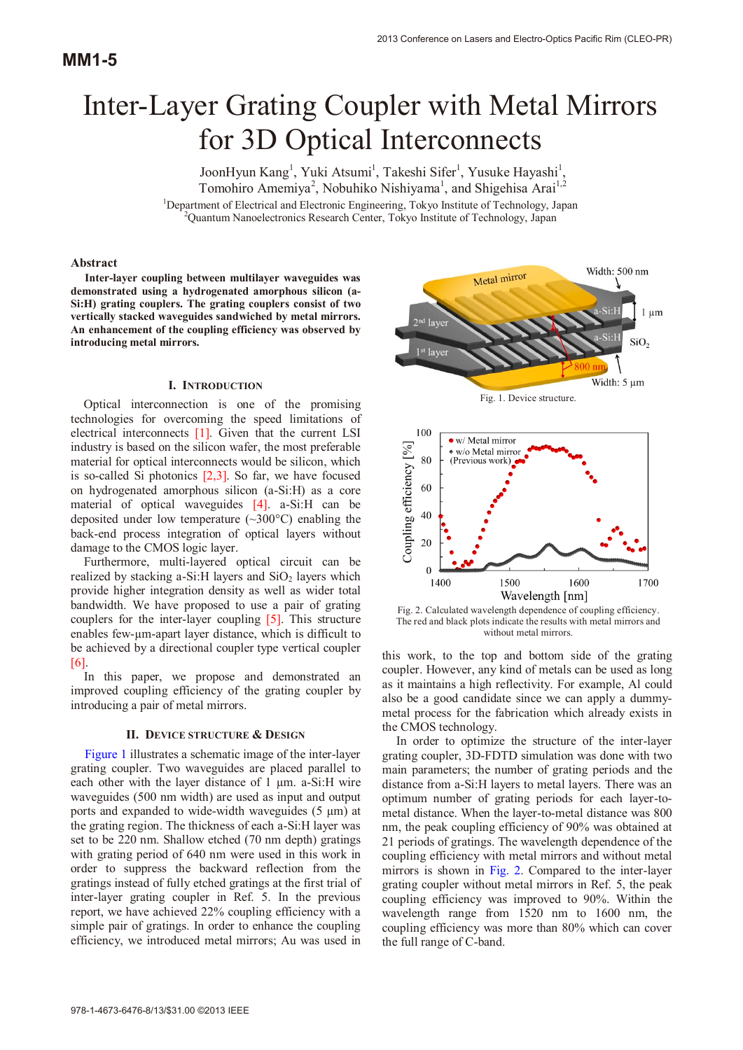# Inter-Layer Grating Coupler with Metal Mirrors for 3D Optical Interconnects

JoonHyun Kang<sup>1</sup>, Yuki Atsumi<sup>1</sup>, Takeshi Sifer<sup>1</sup>, Yusuke Hayashi<sup>1</sup> , Tomohiro Amemiya<sup>2</sup>, Nobuhiko Nishiyama<sup>1</sup>, and Shigehisa Arai<sup>1,2</sup> <sup>1</sup>Department of Electrical and Electronic Engineering, Tokyo Institute of Technology, Japan <sup>2</sup>Ouantum Nanoalectronics Research Center, Tokyo Institute of Technology, Japan Quantum Nanoelectronics Research Center, Tokyo Institute of Technology, Japan

## **Abstract**

**Inter-layer coupling between multilayer waveguides was demonstrated using a hydrogenated amorphous silicon (a-Si:H) grating couplers. The grating couplers consist of two vertically stacked waveguides sandwiched by metal mirrors. An enhancement of the coupling efficiency was observed by introducing metal mirrors.** 

## **I. INTRODUCTION**

Optical interconnection is one of the promising technologies for overcoming the speed limitations of electrical interconnects [1]. Given that the current LSI industry is based on the silicon wafer, the most preferable material for optical interconnects would be silicon, which is so-called Si photonics  $[2,3]$ . So far, we have focused on hydrogenated amorphous silicon (a-Si:H) as a core material of optical waveguides [4]. a-Si:H can be deposited under low temperature (~300°C) enabling the back-end process integration of optical layers without damage to the CMOS logic layer.

Furthermore, multi-layered optical circuit can be realized by stacking a-Si:H layers and  $SiO<sub>2</sub>$  layers which provide higher integration density as well as wider total bandwidth. We have proposed to use a pair of grating couplers for the inter-layer coupling [5]. This structure enables few-µm-apart layer distance, which is difficult to be achieved by a directional coupler type vertical coupler [6].

In this paper, we propose and demonstrated an improved coupling efficiency of the grating coupler by introducing a pair of metal mirrors.

### **II. DEVICE STRUCTURE & DESIGN**

Figure 1 illustrates a schematic image of the inter-layer grating coupler. Two waveguides are placed parallel to each other with the layer distance of  $1 \mu m$ . a-Si:H wire waveguides (500 nm width) are used as input and output ports and expanded to wide-width waveguides  $(5 \mu m)$  at the grating region. The thickness of each a-Si:H layer was set to be 220 nm. Shallow etched (70 nm depth) gratings with grating period of 640 nm were used in this work in order to suppress the backward reflection from the gratings instead of fully etched gratings at the first trial of inter-layer grating coupler in Ref. 5. In the previous report, we have achieved 22% coupling efficiency with a simple pair of gratings. In order to enhance the coupling efficiency, we introduced metal mirrors; Au was used in



Fig. 1. Device structure.



Fig. 2. Calculated wavelength dependence of coupling efficiency. The red and black plots indicate the results with metal mirrors and without metal mirrors.

this work, to the top and bottom side of the grating coupler. However, any kind of metals can be used as long as it maintains a high reflectivity. For example, Al could also be a good candidate since we can apply a dummymetal process for the fabrication which already exists in the CMOS technology.

In order to optimize the structure of the inter-layer grating coupler, 3D-FDTD simulation was done with two main parameters; the number of grating periods and the distance from a-Si:H layers to metal layers. There was an optimum number of grating periods for each layer-tometal distance. When the layer-to-metal distance was 800 nm, the peak coupling efficiency of 90% was obtained at 21 periods of gratings. The wavelength dependence of the coupling efficiency with metal mirrors and without metal mirrors is shown in Fig. 2. Compared to the inter-layer grating coupler without metal mirrors in Ref. 5, the peak coupling efficiency was improved to 90%. Within the wavelength range from 1520 nm to 1600 nm, the coupling efficiency was more than 80% which can cover the full range of C-band.